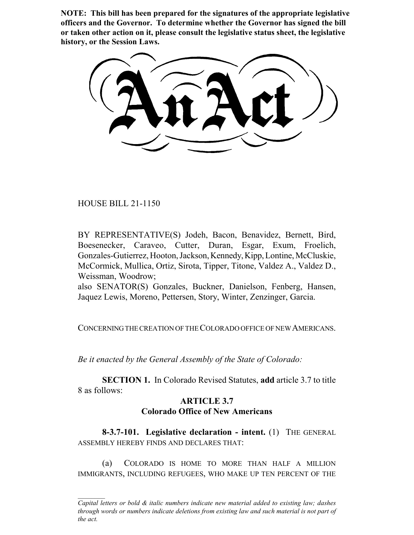**NOTE: This bill has been prepared for the signatures of the appropriate legislative officers and the Governor. To determine whether the Governor has signed the bill or taken other action on it, please consult the legislative status sheet, the legislative history, or the Session Laws.**

HOUSE BILL 21-1150

BY REPRESENTATIVE(S) Jodeh, Bacon, Benavidez, Bernett, Bird, Boesenecker, Caraveo, Cutter, Duran, Esgar, Exum, Froelich, Gonzales-Gutierrez, Hooton, Jackson, Kennedy, Kipp, Lontine, McCluskie, McCormick, Mullica, Ortiz, Sirota, Tipper, Titone, Valdez A., Valdez D., Weissman, Woodrow;

also SENATOR(S) Gonzales, Buckner, Danielson, Fenberg, Hansen, Jaquez Lewis, Moreno, Pettersen, Story, Winter, Zenzinger, Garcia.

CONCERNING THE CREATION OF THE COLORADO OFFICE OF NEW AMERICANS.

*Be it enacted by the General Assembly of the State of Colorado:*

**SECTION 1.** In Colorado Revised Statutes, **add** article 3.7 to title 8 as follows:

## **ARTICLE 3.7 Colorado Office of New Americans**

**8-3.7-101. Legislative declaration - intent.** (1) THE GENERAL ASSEMBLY HEREBY FINDS AND DECLARES THAT:

(a) COLORADO IS HOME TO MORE THAN HALF A MILLION IMMIGRANTS, INCLUDING REFUGEES, WHO MAKE UP TEN PERCENT OF THE

*Capital letters or bold & italic numbers indicate new material added to existing law; dashes through words or numbers indicate deletions from existing law and such material is not part of the act.*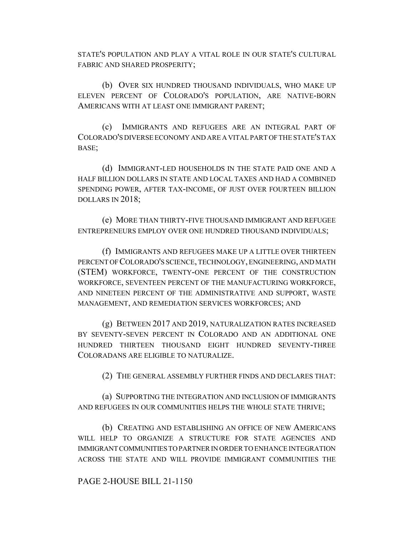STATE'S POPULATION AND PLAY A VITAL ROLE IN OUR STATE'S CULTURAL FABRIC AND SHARED PROSPERITY;

(b) OVER SIX HUNDRED THOUSAND INDIVIDUALS, WHO MAKE UP ELEVEN PERCENT OF COLORADO'S POPULATION, ARE NATIVE-BORN AMERICANS WITH AT LEAST ONE IMMIGRANT PARENT;

(c) IMMIGRANTS AND REFUGEES ARE AN INTEGRAL PART OF COLORADO'S DIVERSE ECONOMY AND ARE A VITAL PART OF THE STATE'S TAX BASE;

(d) IMMIGRANT-LED HOUSEHOLDS IN THE STATE PAID ONE AND A HALF BILLION DOLLARS IN STATE AND LOCAL TAXES AND HAD A COMBINED SPENDING POWER, AFTER TAX-INCOME, OF JUST OVER FOURTEEN BILLION DOLLARS IN 2018;

(e) MORE THAN THIRTY-FIVE THOUSAND IMMIGRANT AND REFUGEE ENTREPRENEURS EMPLOY OVER ONE HUNDRED THOUSAND INDIVIDUALS;

(f) IMMIGRANTS AND REFUGEES MAKE UP A LITTLE OVER THIRTEEN PERCENT OF COLORADO'S SCIENCE, TECHNOLOGY, ENGINEERING, AND MATH (STEM) WORKFORCE, TWENTY-ONE PERCENT OF THE CONSTRUCTION WORKFORCE, SEVENTEEN PERCENT OF THE MANUFACTURING WORKFORCE, AND NINETEEN PERCENT OF THE ADMINISTRATIVE AND SUPPORT, WASTE MANAGEMENT, AND REMEDIATION SERVICES WORKFORCES; AND

(g) BETWEEN 2017 AND 2019, NATURALIZATION RATES INCREASED BY SEVENTY-SEVEN PERCENT IN COLORADO AND AN ADDITIONAL ONE HUNDRED THIRTEEN THOUSAND EIGHT HUNDRED SEVENTY-THREE COLORADANS ARE ELIGIBLE TO NATURALIZE.

(2) THE GENERAL ASSEMBLY FURTHER FINDS AND DECLARES THAT:

(a) SUPPORTING THE INTEGRATION AND INCLUSION OF IMMIGRANTS AND REFUGEES IN OUR COMMUNITIES HELPS THE WHOLE STATE THRIVE;

(b) CREATING AND ESTABLISHING AN OFFICE OF NEW AMERICANS WILL HELP TO ORGANIZE A STRUCTURE FOR STATE AGENCIES AND IMMIGRANT COMMUNITIES TO PARTNER IN ORDER TO ENHANCE INTEGRATION ACROSS THE STATE AND WILL PROVIDE IMMIGRANT COMMUNITIES THE

## PAGE 2-HOUSE BILL 21-1150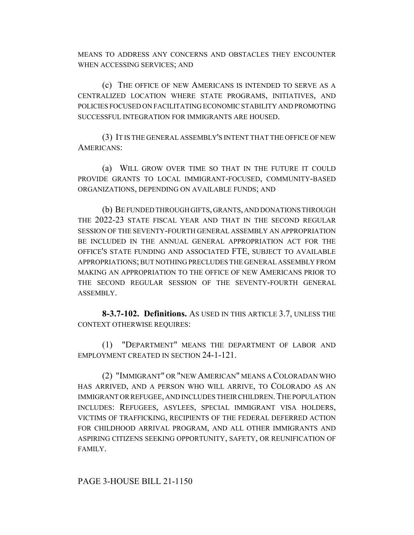MEANS TO ADDRESS ANY CONCERNS AND OBSTACLES THEY ENCOUNTER WHEN ACCESSING SERVICES; AND

(c) THE OFFICE OF NEW AMERICANS IS INTENDED TO SERVE AS A CENTRALIZED LOCATION WHERE STATE PROGRAMS, INITIATIVES, AND POLICIES FOCUSED ON FACILITATING ECONOMIC STABILITY AND PROMOTING SUCCESSFUL INTEGRATION FOR IMMIGRANTS ARE HOUSED.

(3) IT IS THE GENERAL ASSEMBLY'S INTENT THAT THE OFFICE OF NEW AMERICANS:

(a) WILL GROW OVER TIME SO THAT IN THE FUTURE IT COULD PROVIDE GRANTS TO LOCAL IMMIGRANT-FOCUSED, COMMUNITY-BASED ORGANIZATIONS, DEPENDING ON AVAILABLE FUNDS; AND

(b) BE FUNDED THROUGH GIFTS, GRANTS, AND DONATIONS THROUGH THE 2022-23 STATE FISCAL YEAR AND THAT IN THE SECOND REGULAR SESSION OF THE SEVENTY-FOURTH GENERAL ASSEMBLY AN APPROPRIATION BE INCLUDED IN THE ANNUAL GENERAL APPROPRIATION ACT FOR THE OFFICE'S STATE FUNDING AND ASSOCIATED FTE, SUBJECT TO AVAILABLE APPROPRIATIONS; BUT NOTHING PRECLUDES THE GENERAL ASSEMBLY FROM MAKING AN APPROPRIATION TO THE OFFICE OF NEW AMERICANS PRIOR TO THE SECOND REGULAR SESSION OF THE SEVENTY-FOURTH GENERAL ASSEMBLY.

**8-3.7-102. Definitions.** AS USED IN THIS ARTICLE 3.7, UNLESS THE CONTEXT OTHERWISE REQUIRES:

(1) "DEPARTMENT" MEANS THE DEPARTMENT OF LABOR AND EMPLOYMENT CREATED IN SECTION 24-1-121.

(2) "IMMIGRANT" OR "NEW AMERICAN" MEANS A COLORADAN WHO HAS ARRIVED, AND A PERSON WHO WILL ARRIVE, TO COLORADO AS AN IMMIGRANT OR REFUGEE, AND INCLUDES THEIR CHILDREN. THE POPULATION INCLUDES: REFUGEES, ASYLEES, SPECIAL IMMIGRANT VISA HOLDERS, VICTIMS OF TRAFFICKING, RECIPIENTS OF THE FEDERAL DEFERRED ACTION FOR CHILDHOOD ARRIVAL PROGRAM, AND ALL OTHER IMMIGRANTS AND ASPIRING CITIZENS SEEKING OPPORTUNITY, SAFETY, OR REUNIFICATION OF FAMILY.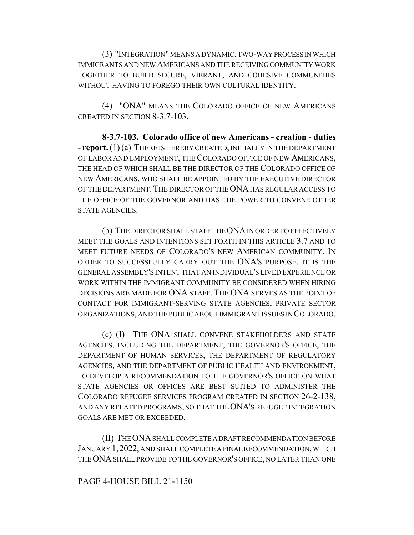(3) "INTEGRATION" MEANS A DYNAMIC, TWO-WAY PROCESS IN WHICH IMMIGRANTS AND NEW AMERICANS AND THE RECEIVING COMMUNITY WORK TOGETHER TO BUILD SECURE, VIBRANT, AND COHESIVE COMMUNITIES WITHOUT HAVING TO FOREGO THEIR OWN CULTURAL IDENTITY.

(4) "ONA" MEANS THE COLORADO OFFICE OF NEW AMERICANS CREATED IN SECTION 8-3.7-103.

**8-3.7-103. Colorado office of new Americans - creation - duties - report.** (1) (a) THERE IS HEREBY CREATED, INITIALLY IN THE DEPARTMENT OF LABOR AND EMPLOYMENT, THE COLORADO OFFICE OF NEW AMERICANS, THE HEAD OF WHICH SHALL BE THE DIRECTOR OF THE COLORADO OFFICE OF NEW AMERICANS, WHO SHALL BE APPOINTED BY THE EXECUTIVE DIRECTOR OF THE DEPARTMENT. THE DIRECTOR OF THE ONA HAS REGULAR ACCESS TO THE OFFICE OF THE GOVERNOR AND HAS THE POWER TO CONVENE OTHER STATE AGENCIES.

(b) THE DIRECTOR SHALL STAFF THE ONA IN ORDER TO EFFECTIVELY MEET THE GOALS AND INTENTIONS SET FORTH IN THIS ARTICLE 3.7 AND TO MEET FUTURE NEEDS OF COLORADO'S NEW AMERICAN COMMUNITY. IN ORDER TO SUCCESSFULLY CARRY OUT THE ONA'S PURPOSE, IT IS THE GENERAL ASSEMBLY'S INTENT THAT AN INDIVIDUAL'S LIVED EXPERIENCE OR WORK WITHIN THE IMMIGRANT COMMUNITY BE CONSIDERED WHEN HIRING DECISIONS ARE MADE FOR ONA STAFF. THE ONA SERVES AS THE POINT OF CONTACT FOR IMMIGRANT-SERVING STATE AGENCIES, PRIVATE SECTOR ORGANIZATIONS, AND THE PUBLIC ABOUT IMMIGRANT ISSUES IN COLORADO.

(c) (I) THE ONA SHALL CONVENE STAKEHOLDERS AND STATE AGENCIES, INCLUDING THE DEPARTMENT, THE GOVERNOR'S OFFICE, THE DEPARTMENT OF HUMAN SERVICES, THE DEPARTMENT OF REGULATORY AGENCIES, AND THE DEPARTMENT OF PUBLIC HEALTH AND ENVIRONMENT, TO DEVELOP A RECOMMENDATION TO THE GOVERNOR'S OFFICE ON WHAT STATE AGENCIES OR OFFICES ARE BEST SUITED TO ADMINISTER THE COLORADO REFUGEE SERVICES PROGRAM CREATED IN SECTION 26-2-138, AND ANY RELATED PROGRAMS, SO THAT THE ONA'S REFUGEE INTEGRATION GOALS ARE MET OR EXCEEDED.

(II) THE ONA SHALL COMPLETE A DRAFT RECOMMENDATION BEFORE JANUARY 1,2022, AND SHALL COMPLETE A FINAL RECOMMENDATION, WHICH THE ONA SHALL PROVIDE TO THE GOVERNOR'S OFFICE, NO LATER THAN ONE

## PAGE 4-HOUSE BILL 21-1150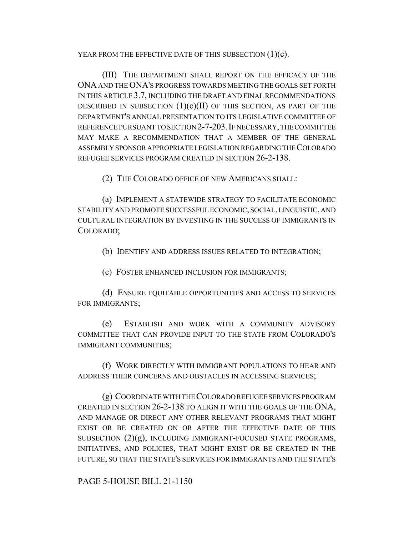YEAR FROM THE EFFECTIVE DATE OF THIS SUBSECTION  $(1)(c)$ .

(III) THE DEPARTMENT SHALL REPORT ON THE EFFICACY OF THE ONA AND THE ONA'S PROGRESS TOWARDS MEETING THE GOALS SET FORTH IN THIS ARTICLE 3.7, INCLUDING THE DRAFT AND FINAL RECOMMENDATIONS DESCRIBED IN SUBSECTION  $(1)(c)(II)$  of this section, as part of the DEPARTMENT'S ANNUAL PRESENTATION TO ITS LEGISLATIVE COMMITTEE OF REFERENCE PURSUANT TO SECTION 2-7-203.IF NECESSARY, THE COMMITTEE MAY MAKE A RECOMMENDATION THAT A MEMBER OF THE GENERAL ASSEMBLY SPONSOR APPROPRIATE LEGISLATION REGARDING THE COLORADO REFUGEE SERVICES PROGRAM CREATED IN SECTION 26-2-138.

(2) THE COLORADO OFFICE OF NEW AMERICANS SHALL:

(a) IMPLEMENT A STATEWIDE STRATEGY TO FACILITATE ECONOMIC STABILITY AND PROMOTE SUCCESSFUL ECONOMIC, SOCIAL, LINGUISTIC, AND CULTURAL INTEGRATION BY INVESTING IN THE SUCCESS OF IMMIGRANTS IN COLORADO;

(b) IDENTIFY AND ADDRESS ISSUES RELATED TO INTEGRATION;

(c) FOSTER ENHANCED INCLUSION FOR IMMIGRANTS;

(d) ENSURE EQUITABLE OPPORTUNITIES AND ACCESS TO SERVICES FOR IMMIGRANTS;

(e) ESTABLISH AND WORK WITH A COMMUNITY ADVISORY COMMITTEE THAT CAN PROVIDE INPUT TO THE STATE FROM COLORADO'S IMMIGRANT COMMUNITIES;

(f) WORK DIRECTLY WITH IMMIGRANT POPULATIONS TO HEAR AND ADDRESS THEIR CONCERNS AND OBSTACLES IN ACCESSING SERVICES;

(g) COORDINATE WITH THE COLORADO REFUGEE SERVICES PROGRAM CREATED IN SECTION 26-2-138 TO ALIGN IT WITH THE GOALS OF THE ONA, AND MANAGE OR DIRECT ANY OTHER RELEVANT PROGRAMS THAT MIGHT EXIST OR BE CREATED ON OR AFTER THE EFFECTIVE DATE OF THIS SUBSECTION  $(2)(g)$ , INCLUDING IMMIGRANT-FOCUSED STATE PROGRAMS, INITIATIVES, AND POLICIES, THAT MIGHT EXIST OR BE CREATED IN THE FUTURE, SO THAT THE STATE'S SERVICES FOR IMMIGRANTS AND THE STATE'S

PAGE 5-HOUSE BILL 21-1150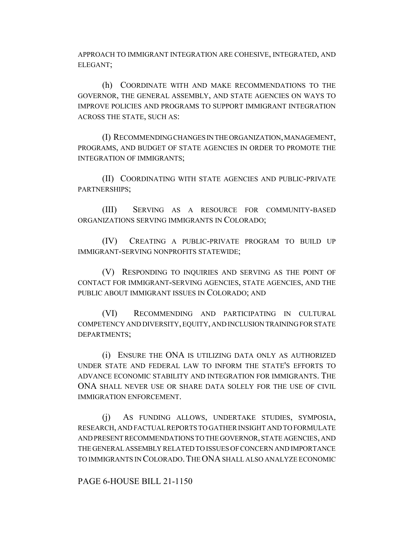APPROACH TO IMMIGRANT INTEGRATION ARE COHESIVE, INTEGRATED, AND ELEGANT;

(h) COORDINATE WITH AND MAKE RECOMMENDATIONS TO THE GOVERNOR, THE GENERAL ASSEMBLY, AND STATE AGENCIES ON WAYS TO IMPROVE POLICIES AND PROGRAMS TO SUPPORT IMMIGRANT INTEGRATION ACROSS THE STATE, SUCH AS:

(I) RECOMMENDING CHANGES IN THE ORGANIZATION, MANAGEMENT, PROGRAMS, AND BUDGET OF STATE AGENCIES IN ORDER TO PROMOTE THE INTEGRATION OF IMMIGRANTS;

(II) COORDINATING WITH STATE AGENCIES AND PUBLIC-PRIVATE PARTNERSHIPS;

(III) SERVING AS A RESOURCE FOR COMMUNITY-BASED ORGANIZATIONS SERVING IMMIGRANTS IN COLORADO;

(IV) CREATING A PUBLIC-PRIVATE PROGRAM TO BUILD UP IMMIGRANT-SERVING NONPROFITS STATEWIDE;

(V) RESPONDING TO INQUIRIES AND SERVING AS THE POINT OF CONTACT FOR IMMIGRANT-SERVING AGENCIES, STATE AGENCIES, AND THE PUBLIC ABOUT IMMIGRANT ISSUES IN COLORADO; AND

(VI) RECOMMENDING AND PARTICIPATING IN CULTURAL COMPETENCY AND DIVERSITY, EQUITY, AND INCLUSION TRAINING FOR STATE DEPARTMENTS;

(i) ENSURE THE ONA IS UTILIZING DATA ONLY AS AUTHORIZED UNDER STATE AND FEDERAL LAW TO INFORM THE STATE'S EFFORTS TO ADVANCE ECONOMIC STABILITY AND INTEGRATION FOR IMMIGRANTS. THE ONA SHALL NEVER USE OR SHARE DATA SOLELY FOR THE USE OF CIVIL IMMIGRATION ENFORCEMENT.

(j) AS FUNDING ALLOWS, UNDERTAKE STUDIES, SYMPOSIA, RESEARCH, AND FACTUAL REPORTS TO GATHER INSIGHT AND TO FORMULATE AND PRESENT RECOMMENDATIONS TO THE GOVERNOR, STATE AGENCIES, AND THE GENERAL ASSEMBLY RELATED TO ISSUES OF CONCERN AND IMPORTANCE TO IMMIGRANTS IN COLORADO.THE ONA SHALL ALSO ANALYZE ECONOMIC

PAGE 6-HOUSE BILL 21-1150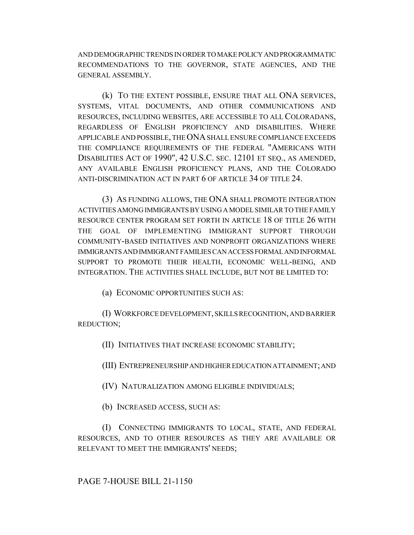AND DEMOGRAPHIC TRENDS IN ORDER TO MAKE POLICY AND PROGRAMMATIC RECOMMENDATIONS TO THE GOVERNOR, STATE AGENCIES, AND THE GENERAL ASSEMBLY.

(k) TO THE EXTENT POSSIBLE, ENSURE THAT ALL ONA SERVICES, SYSTEMS, VITAL DOCUMENTS, AND OTHER COMMUNICATIONS AND RESOURCES, INCLUDING WEBSITES, ARE ACCESSIBLE TO ALL COLORADANS, REGARDLESS OF ENGLISH PROFICIENCY AND DISABILITIES. WHERE APPLICABLE AND POSSIBLE, THE ONA SHALL ENSURE COMPLIANCE EXCEEDS THE COMPLIANCE REQUIREMENTS OF THE FEDERAL "AMERICANS WITH DISABILITIES ACT OF 1990", 42 U.S.C. SEC. 12101 ET SEQ., AS AMENDED, ANY AVAILABLE ENGLISH PROFICIENCY PLANS, AND THE COLORADO ANTI-DISCRIMINATION ACT IN PART 6 OF ARTICLE 34 OF TITLE 24.

(3) AS FUNDING ALLOWS, THE ONA SHALL PROMOTE INTEGRATION ACTIVITIES AMONG IMMIGRANTS BY USING A MODEL SIMILAR TO THE FAMILY RESOURCE CENTER PROGRAM SET FORTH IN ARTICLE 18 OF TITLE 26 WITH THE GOAL OF IMPLEMENTING IMMIGRANT SUPPORT THROUGH COMMUNITY-BASED INITIATIVES AND NONPROFIT ORGANIZATIONS WHERE IMMIGRANTS AND IMMIGRANT FAMILIES CAN ACCESS FORMAL AND INFORMAL SUPPORT TO PROMOTE THEIR HEALTH, ECONOMIC WELL-BEING, AND INTEGRATION. THE ACTIVITIES SHALL INCLUDE, BUT NOT BE LIMITED TO:

(a) ECONOMIC OPPORTUNITIES SUCH AS:

(I) WORKFORCE DEVELOPMENT, SKILLS RECOGNITION, AND BARRIER REDUCTION;

(II) INITIATIVES THAT INCREASE ECONOMIC STABILITY;

(III) ENTREPRENEURSHIP AND HIGHER EDUCATION ATTAINMENT; AND

(IV) NATURALIZATION AMONG ELIGIBLE INDIVIDUALS;

(b) INCREASED ACCESS, SUCH AS:

(I) CONNECTING IMMIGRANTS TO LOCAL, STATE, AND FEDERAL RESOURCES, AND TO OTHER RESOURCES AS THEY ARE AVAILABLE OR RELEVANT TO MEET THE IMMIGRANTS' NEEDS;

PAGE 7-HOUSE BILL 21-1150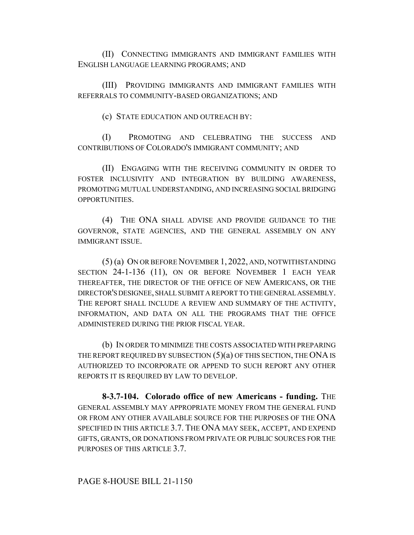(II) CONNECTING IMMIGRANTS AND IMMIGRANT FAMILIES WITH ENGLISH LANGUAGE LEARNING PROGRAMS; AND

(III) PROVIDING IMMIGRANTS AND IMMIGRANT FAMILIES WITH REFERRALS TO COMMUNITY-BASED ORGANIZATIONS; AND

(c) STATE EDUCATION AND OUTREACH BY:

(I) PROMOTING AND CELEBRATING THE SUCCESS AND CONTRIBUTIONS OF COLORADO'S IMMIGRANT COMMUNITY; AND

(II) ENGAGING WITH THE RECEIVING COMMUNITY IN ORDER TO FOSTER INCLUSIVITY AND INTEGRATION BY BUILDING AWARENESS, PROMOTING MUTUAL UNDERSTANDING, AND INCREASING SOCIAL BRIDGING OPPORTUNITIES.

(4) THE ONA SHALL ADVISE AND PROVIDE GUIDANCE TO THE GOVERNOR, STATE AGENCIES, AND THE GENERAL ASSEMBLY ON ANY IMMIGRANT ISSUE.

(5) (a) ON OR BEFORE NOVEMBER 1, 2022, AND, NOTWITHSTANDING SECTION 24-1-136 (11), ON OR BEFORE NOVEMBER 1 EACH YEAR THEREAFTER, THE DIRECTOR OF THE OFFICE OF NEW AMERICANS, OR THE DIRECTOR'S DESIGNEE, SHALL SUBMIT A REPORT TO THE GENERAL ASSEMBLY. THE REPORT SHALL INCLUDE A REVIEW AND SUMMARY OF THE ACTIVITY, INFORMATION, AND DATA ON ALL THE PROGRAMS THAT THE OFFICE ADMINISTERED DURING THE PRIOR FISCAL YEAR.

(b) IN ORDER TO MINIMIZE THE COSTS ASSOCIATED WITH PREPARING THE REPORT REQUIRED BY SUBSECTION  $(5)(a)$  OF THIS SECTION, THE ONA IS AUTHORIZED TO INCORPORATE OR APPEND TO SUCH REPORT ANY OTHER REPORTS IT IS REQUIRED BY LAW TO DEVELOP.

**8-3.7-104. Colorado office of new Americans - funding.** THE GENERAL ASSEMBLY MAY APPROPRIATE MONEY FROM THE GENERAL FUND OR FROM ANY OTHER AVAILABLE SOURCE FOR THE PURPOSES OF THE ONA SPECIFIED IN THIS ARTICLE 3.7. THE ONA MAY SEEK, ACCEPT, AND EXPEND GIFTS, GRANTS, OR DONATIONS FROM PRIVATE OR PUBLIC SOURCES FOR THE PURPOSES OF THIS ARTICLE 3.7.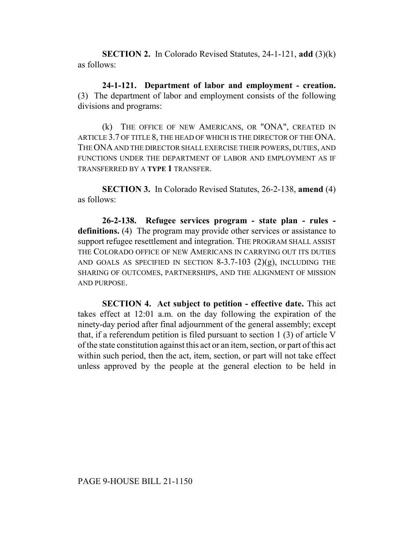**SECTION 2.** In Colorado Revised Statutes, 24-1-121, **add** (3)(k) as follows:

**24-1-121. Department of labor and employment - creation.** (3) The department of labor and employment consists of the following divisions and programs:

(k) THE OFFICE OF NEW AMERICANS, OR "ONA", CREATED IN ARTICLE 3.7 OF TITLE 8, THE HEAD OF WHICH IS THE DIRECTOR OF THE ONA. THE ONA AND THE DIRECTOR SHALL EXERCISE THEIR POWERS, DUTIES, AND FUNCTIONS UNDER THE DEPARTMENT OF LABOR AND EMPLOYMENT AS IF TRANSFERRED BY A **TYPE 1** TRANSFER.

**SECTION 3.** In Colorado Revised Statutes, 26-2-138, **amend** (4) as follows:

**26-2-138. Refugee services program - state plan - rules definitions.** (4) The program may provide other services or assistance to support refugee resettlement and integration. THE PROGRAM SHALL ASSIST THE COLORADO OFFICE OF NEW AMERICANS IN CARRYING OUT ITS DUTIES AND GOALS AS SPECIFIED IN SECTION  $8-3.7-103$  (2)(g), INCLUDING THE SHARING OF OUTCOMES, PARTNERSHIPS, AND THE ALIGNMENT OF MISSION AND PURPOSE.

**SECTION 4. Act subject to petition - effective date.** This act takes effect at 12:01 a.m. on the day following the expiration of the ninety-day period after final adjournment of the general assembly; except that, if a referendum petition is filed pursuant to section 1 (3) of article V of the state constitution against this act or an item, section, or part of this act within such period, then the act, item, section, or part will not take effect unless approved by the people at the general election to be held in